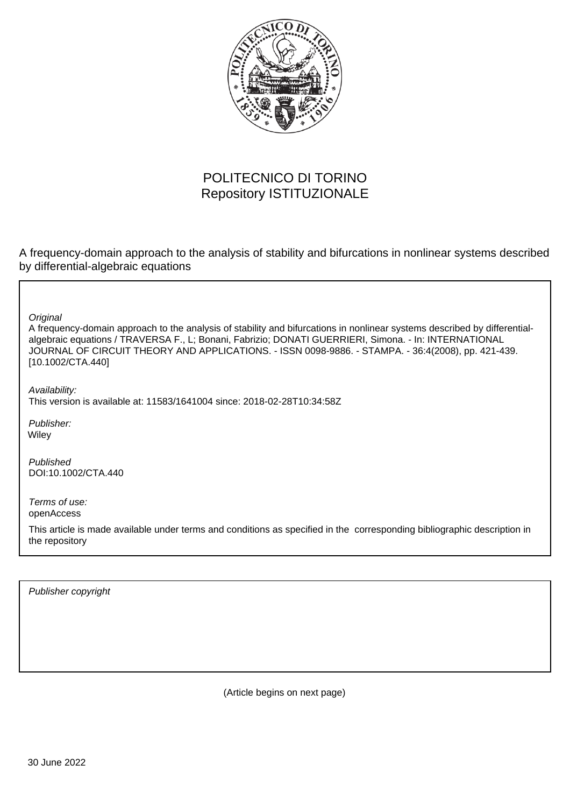

# POLITECNICO DI TORINO Repository ISTITUZIONALE

A frequency-domain approach to the analysis of stability and bifurcations in nonlinear systems described by differential-algebraic equations

**Original** 

A frequency-domain approach to the analysis of stability and bifurcations in nonlinear systems described by differentialalgebraic equations / TRAVERSA F., L; Bonani, Fabrizio; DONATI GUERRIERI, Simona. - In: INTERNATIONAL JOURNAL OF CIRCUIT THEORY AND APPLICATIONS. - ISSN 0098-9886. - STAMPA. - 36:4(2008), pp. 421-439. [10.1002/CTA.440]

Availability:

This version is available at: 11583/1641004 since: 2018-02-28T10:34:58Z

Publisher: **Wiley** 

Published DOI:10.1002/CTA.440

Terms of use: openAccess

This article is made available under terms and conditions as specified in the corresponding bibliographic description in the repository

Publisher copyright

(Article begins on next page)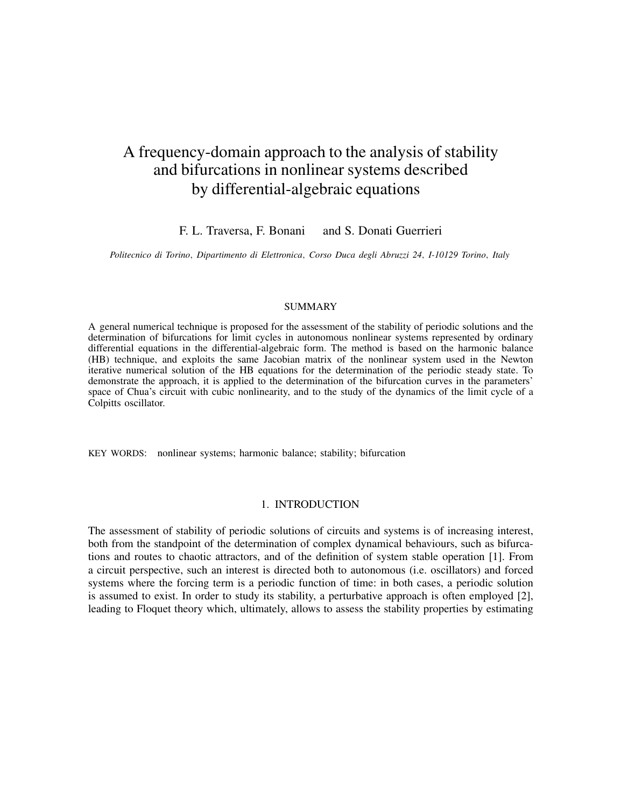# A frequency-domain approach to the analysis of stability and bifurcations in nonlinear systems described by differential-algebraic equations*‡*

F. L. Traversa, F. Bonani∗*,†* and S. Donati Guerrieri

*Politecnico di Torino, Dipartimento di Elettronica, Corso Duca degli Abruzzi 24, I-10129 Torino, Italy*

## SUMMARY

A general numerical technique is proposed for the assessment of the stability of periodic solutions and the determination of bifurcations for limit cycles in autonomous nonlinear systems represented by ordinary differential equations in the differential-algebraic form. The method is based on the harmonic balance (HB) technique, and exploits the same Jacobian matrix of the nonlinear system used in the Newton iterative numerical solution of the HB equations for the determination of the periodic steady state. To demonstrate the approach, it is applied to the determination of the bifurcation curves in the parameters' space of Chua's circuit with cubic nonlinearity, and to the study of the dynamics of the limit cycle of a Colpitts oscillator.

KEY WORDS: nonlinear systems; harmonic balance; stability; bifurcation

## 1. INTRODUCTION

The assessment of stability of periodic solutions of circuits and systems is of increasing interest, both from the standpoint of the determination of complex dynamical behaviours, such as bifurcations and routes to chaotic attractors, and of the definition of system stable operation [1]. From a circuit perspective, such an interest is directed both to autonomous (i.e. oscillators) and forced systems where the forcing term is a periodic function of time: in both cases, a periodic solution is assumed to exist. In order to study its stability, a perturbative approach is often employed [2], leading to Floquet theory which, ultimately, allows to assess the stability properties by estimating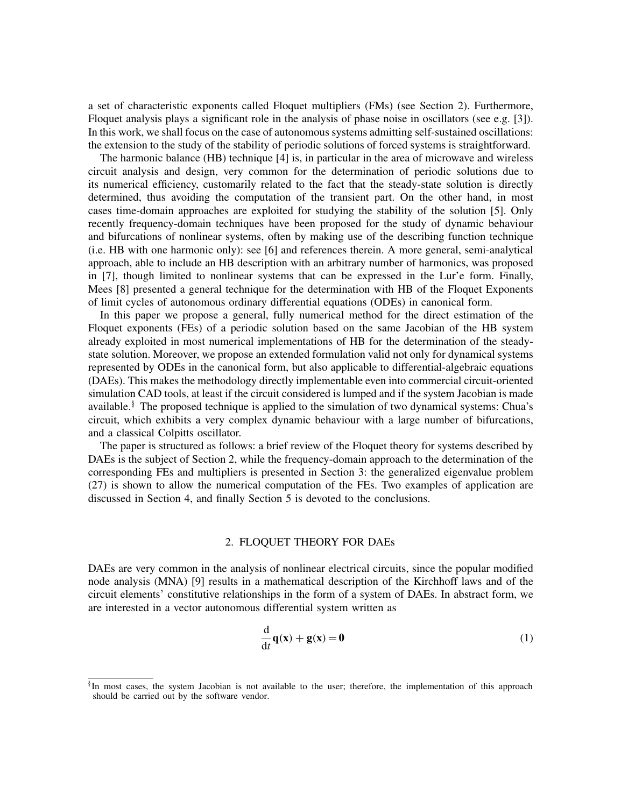a set of characteristic exponents called Floquet multipliers (FMs) (see Section 2). Furthermore, Floquet analysis plays a significant role in the analysis of phase noise in oscillators (see e.g. [3]). In this work, we shall focus on the case of autonomous systems admitting self-sustained oscillations: the extension to the study of the stability of periodic solutions of forced systems is straightforward.

The harmonic balance (HB) technique [4] is, in particular in the area of microwave and wireless circuit analysis and design, very common for the determination of periodic solutions due to its numerical efficiency, customarily related to the fact that the steady-state solution is directly determined, thus avoiding the computation of the transient part. On the other hand, in most cases time-domain approaches are exploited for studying the stability of the solution [5]. Only recently frequency-domain techniques have been proposed for the study of dynamic behaviour and bifurcations of nonlinear systems, often by making use of the describing function technique (i.e. HB with one harmonic only): see [6] and references therein. A more general, semi-analytical approach, able to include an HB description with an arbitrary number of harmonics, was proposed in [7], though limited to nonlinear systems that can be expressed in the Lur'e form. Finally, Mees [8] presented a general technique for the determination with HB of the Floquet Exponents of limit cycles of autonomous ordinary differential equations (ODEs) in canonical form.

In this paper we propose a general, fully numerical method for the direct estimation of the Floquet exponents (FEs) of a periodic solution based on the same Jacobian of the HB system already exploited in most numerical implementations of HB for the determination of the steadystate solution. Moreover, we propose an extended formulation valid not only for dynamical systems represented by ODEs in the canonical form, but also applicable to differential-algebraic equations (DAEs). This makes the methodology directly implementable even into commercial circuit-oriented simulation CAD tools, at least if the circuit considered is lumped and if the system Jacobian is made available.<sup>§</sup> The proposed technique is applied to the simulation of two dynamical systems: Chua's circuit, which exhibits a very complex dynamic behaviour with a large number of bifurcations, and a classical Colpitts oscillator.

The paper is structured as follows: a brief review of the Floquet theory for systems described by DAEs is the subject of Section 2, while the frequency-domain approach to the determination of the corresponding FEs and multipliers is presented in Section 3: the generalized eigenvalue problem (27) is shown to allow the numerical computation of the FEs. Two examples of application are discussed in Section 4, and finally Section 5 is devoted to the conclusions.

#### 2. FLOQUET THEORY FOR DAEs

DAEs are very common in the analysis of nonlinear electrical circuits, since the popular modified node analysis (MNA) [9] results in a mathematical description of the Kirchhoff laws and of the circuit elements' constitutive relationships in the form of a system of DAEs. In abstract form, we are interested in a vector autonomous differential system written as

$$
\frac{\mathrm{d}}{\mathrm{d}t}\mathbf{q}(\mathbf{x}) + \mathbf{g}(\mathbf{x}) = \mathbf{0} \tag{1}
$$

<sup>§</sup> In most cases, the system Jacobian is not available to the user; therefore, the implementation of this approach should be carried out by the software vendor.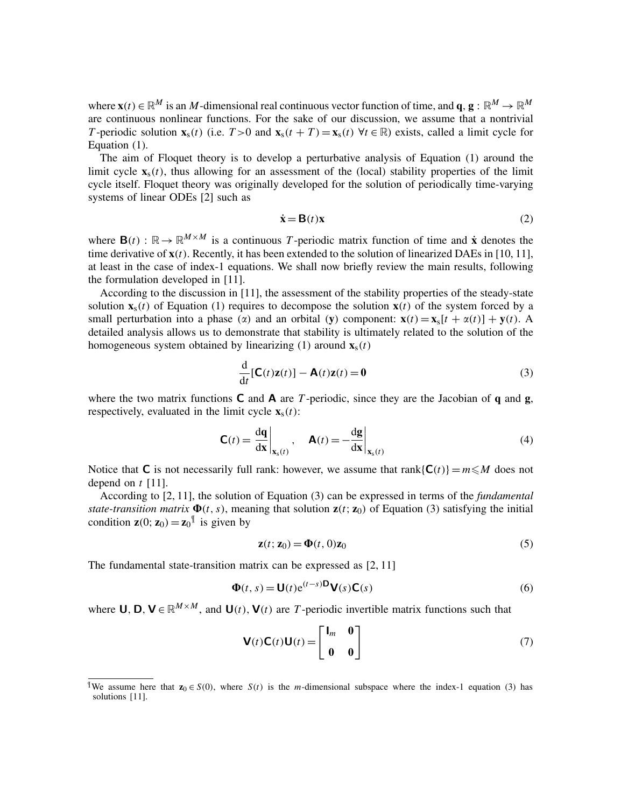where  $\mathbf{x}(t) \in \mathbb{R}^M$  is an *M*-dimensional real continuous vector function of time, and **q**, **g** :  $\mathbb{R}^M \to \mathbb{R}^M$ are continuous nonlinear functions. For the sake of our discussion, we assume that a nontrivial *T*-periodic solution  $\mathbf{x}_s(t)$  (i.e.  $T > 0$  and  $\mathbf{x}_s(t + T) = \mathbf{x}_s(t)$   $\forall t \in \mathbb{R}$ ) exists, called a limit cycle for Equation (1).

The aim of Floquet theory is to develop a perturbative analysis of Equation (1) around the limit cycle  $\mathbf{x}_s(t)$ , thus allowing for an assessment of the (local) stability properties of the limit cycle itself. Floquet theory was originally developed for the solution of periodically time-varying systems of linear ODEs [2] such as

$$
\dot{\mathbf{x}} = \mathbf{B}(t)\mathbf{x} \tag{2}
$$

where  $\mathbf{B}(t)$ :  $\mathbb{R} \to \mathbb{R}^{M \times M}$  is a continuous *T*-periodic matrix function of time and **x** denotes the time derivative of **x***(t)*. Recently, it has been extended to the solution of linearized DAEs in [10, 11], at least in the case of index-1 equations. We shall now briefly review the main results, following the formulation developed in [11].

According to the discussion in [11], the assessment of the stability properties of the steady-state solution  $\mathbf{x}_s(t)$  of Equation (1) requires to decompose the solution  $\mathbf{x}(t)$  of the system forced by a small perturbation into a phase ( $\alpha$ ) and an orbital ( $\bf{v}$ ) component:  $\bf{x}$ ( $t$ ) =  $\bf{x}$ <sub>s</sub>[ $t + \alpha$ ( $t$ )] +  $\bf{v}$ ( $t$ ). A detailed analysis allows us to demonstrate that stability is ultimately related to the solution of the homogeneous system obtained by linearizing (1) around  $\mathbf{x}_s(t)$ 

$$
\frac{d}{dt}[\mathbf{C}(t)\mathbf{z}(t)] - \mathbf{A}(t)\mathbf{z}(t) = \mathbf{0}
$$
\n(3)

where the two matrix functions **C** and **A** are *T* -periodic, since they are the Jacobian of **q** and **g**, respectively, evaluated in the limit cycle  $\mathbf{x}_s(t)$ :

$$
\mathbf{C}(t) = \frac{\mathrm{d}\mathbf{q}}{\mathrm{d}\mathbf{x}}\bigg|_{\mathbf{x}_{\mathrm{s}}(t)}, \quad \mathbf{A}(t) = -\frac{\mathrm{d}\mathbf{g}}{\mathrm{d}\mathbf{x}}\bigg|_{\mathbf{x}_{\mathrm{s}}(t)}
$$
(4)

Notice that **C** is not necessarily full rank: however, we assume that  $rank{C(t)} = m \leq M$  does not depend on *t* [11].

According to [2, 11], the solution of Equation (3) can be expressed in terms of the *fundamental state-transition matrix*  $\Phi(t, s)$ , meaning that solution  $z(t; z_0)$  of Equation (3) satisfying the initial condition  $\mathbf{z}(0; \mathbf{z}_0) = \mathbf{z}_0^{\mathbb{T}}$  is given by

$$
\mathbf{z}(t; \mathbf{z}_0) = \mathbf{\Phi}(t, 0)\mathbf{z}_0 \tag{5}
$$

The fundamental state-transition matrix can be expressed as [2, 11]

$$
\Phi(t,s) = \mathbf{U}(t)e^{(t-s)\mathbf{D}}\mathbf{V}(s)\mathbf{C}(s)
$$
\n(6)

where **U**, **D**,  $V \in \mathbb{R}^{M \times M}$ , and **U**(*t*),  $V(t)$  are *T*-periodic invertible matrix functions such that

$$
\mathbf{V}(t)\mathbf{C}(t)\mathbf{U}(t) = \begin{bmatrix} \mathbf{I}_m & \mathbf{0} \\ \mathbf{0} & \mathbf{0} \end{bmatrix}
$$
 (7)

<sup>&</sup>lt;sup>¶</sup>We assume here that **z**<sub>0</sub> ∈ *S*(0), where *S*(*t*) is the *m*-dimensional subspace where the index-1 equation (3) has solutions [11].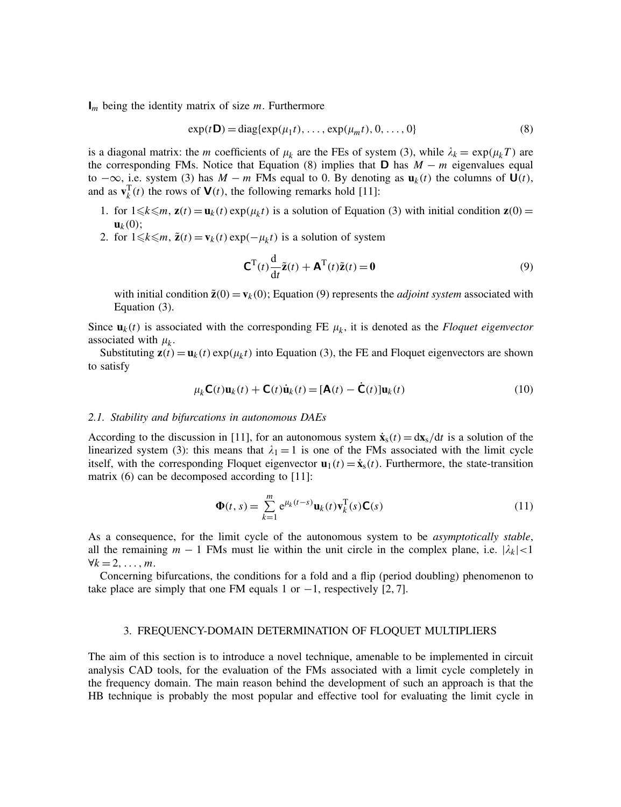$I_m$  being the identity matrix of size *m*. Furthermore

$$
\exp(t\mathbf{D}) = \text{diag}\{\exp(\mu_1 t), \dots, \exp(\mu_m t), 0, \dots, 0\}
$$
\n(8)

is a diagonal matrix: the *m* coefficients of  $\mu_k$  are the FEs of system (3), while  $\lambda_k = \exp(\mu_k T)$  are the corresponding FMs. Notice that Equation (8) implies that **D** has *M* − *m* eigenvalues equal to  $-\infty$ , i.e. system (3) has *M* − *m* FMs equal to 0. By denoting as  $\mathbf{u}_k(t)$  the columns of  $\mathbf{U}(t)$ , and as  $\mathbf{v}_k^{\mathrm{T}}(t)$  the rows of  $\mathbf{V}(t)$ , the following remarks hold [11]:

- 1. for  $1 \leq k \leq m$ ,  $\mathbf{z}(t) = \mathbf{u}_k(t) \exp(\mu_k t)$  is a solution of Equation (3) with initial condition  $\mathbf{z}(0) =$  $\mathbf{u}_k(0)$ :
- 2. for  $1 \le k \le m$ ,  $\tilde{\mathbf{z}}(t) = \mathbf{v}_k(t) \exp(-\mu_k t)$  is a solution of system

$$
\mathbf{C}^{\mathrm{T}}(t)\frac{d}{dt}\tilde{\mathbf{z}}(t) + \mathbf{A}^{\mathrm{T}}(t)\tilde{\mathbf{z}}(t) = \mathbf{0}
$$
\n(9)

with initial condition  $\tilde{\mathbf{z}}(0) = \mathbf{v}_k(0)$ ; Equation (9) represents the *adjoint system* associated with Equation (3).

Since  $\mathbf{u}_k(t)$  is associated with the corresponding FE  $\mu_k$ , it is denoted as the *Floquet eigenvector* associated with  $\mu_k$ .

Substituting  $\mathbf{z}(t) = \mathbf{u}_k(t) \exp(\mu_k t)$  into Equation (3), the FE and Floquet eigenvectors are shown to satisfy

$$
\mu_k \mathbf{C}(t) \mathbf{u}_k(t) + \mathbf{C}(t) \dot{\mathbf{u}}_k(t) = [\mathbf{A}(t) - \dot{\mathbf{C}}(t)] \mathbf{u}_k(t)
$$
\n(10)

### *2.1. Stability and bifurcations in autonomous DAEs*

According to the discussion in [11], for an autonomous system  $\dot{\mathbf{x}}_s(t) = d\mathbf{x}_s/dt$  is a solution of the linearized system (3): this means that  $\lambda_1 = 1$  is one of the FMs associated with the limit cycle itself, with the corresponding Floquet eigenvector  $\mathbf{u}_1(t) = \dot{\mathbf{x}}_s(t)$ . Furthermore, the state-transition matrix (6) can be decomposed according to [11]:

$$
\mathbf{\Phi}(t,s) = \sum_{k=1}^{m} e^{\mu_k(t-s)} \mathbf{u}_k(t) \mathbf{v}_k^{\mathrm{T}}(s) \mathbf{C}(s)
$$
\n(11)

As a consequence, for the limit cycle of the autonomous system to be *asymptotically stable*, all the remaining  $m - 1$  FMs must lie within the unit circle in the complex plane, i.e.  $|\lambda_k| < 1$  $\forall k = 2, \ldots, m$ .

Concerning bifurcations, the conditions for a fold and a flip (period doubling) phenomenon to take place are simply that one FM equals 1 or  $-1$ , respectively [2, 7].

#### 3. FREQUENCY-DOMAIN DETERMINATION OF FLOQUET MULTIPLIERS

The aim of this section is to introduce a novel technique, amenable to be implemented in circuit analysis CAD tools, for the evaluation of the FMs associated with a limit cycle completely in the frequency domain. The main reason behind the development of such an approach is that the HB technique is probably the most popular and effective tool for evaluating the limit cycle in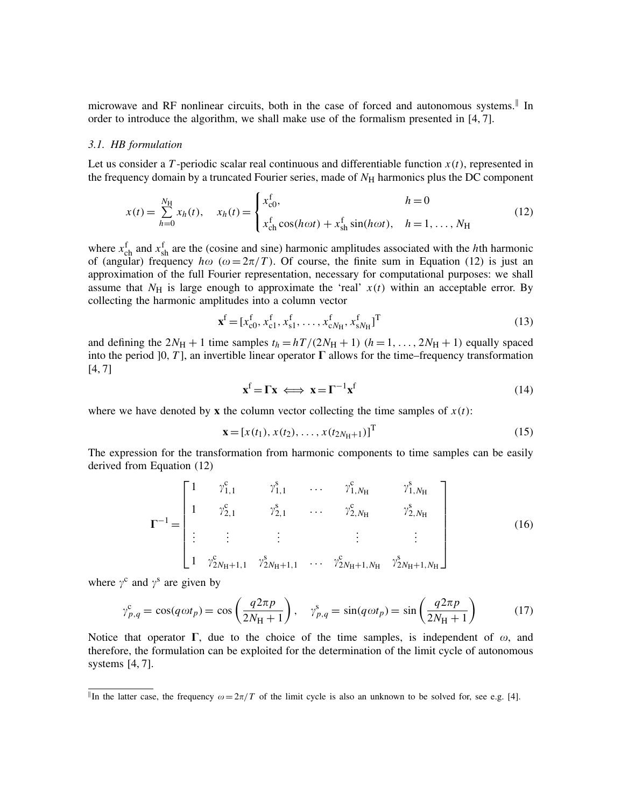microwave and RF nonlinear circuits, both in the case of forced and autonomous systems.<sup>||</sup> In order to introduce the algorithm, we shall make use of the formalism presented in [4, 7].

### *3.1. HB formulation*

Let us consider a *T*-periodic scalar real continuous and differentiable function  $x(t)$ , represented in the frequency domain by a truncated Fourier series, made of  $N_H$  harmonics plus the DC component

$$
x(t) = \sum_{h=0}^{N_{\rm H}} x_h(t), \quad x_h(t) = \begin{cases} x_{\rm c0}^{\rm f}, & h = 0\\ x_{\rm ch}^{\rm f}\cos(h\omega t) + x_{\rm sh}^{\rm f}\sin(h\omega t), & h = 1, ..., N_{\rm H} \end{cases}
$$
(12)

where  $x_{ch}^f$  and  $x_{sh}^f$  are the (cosine and sine) harmonic amplitudes associated with the *h*th harmonic of (angular) frequency  $h\omega$  ( $\omega = 2\pi/T$ ). Of course, the finite sum in Equation (12) is just an approximation of the full Fourier representation, necessary for computational purposes: we shall assume that  $N_H$  is large enough to approximate the 'real'  $x(t)$  within an acceptable error. By collecting the harmonic amplitudes into a column vector

$$
\mathbf{x}^{\mathbf{f}} = [x_{c0}^{\mathbf{f}}, x_{c1}^{\mathbf{f}}, x_{s1}^{\mathbf{f}}, \dots, x_{cN_{\mathrm{H}}}^{\mathbf{f}}, x_{sN_{\mathrm{H}}}^{\mathbf{f}}]^{\mathrm{T}}
$$
(13)

and defining the  $2N_H + 1$  time samples  $t_h = hT/(2N_H + 1)$   $(h = 1, \ldots, 2N_H + 1)$  equally spaced into the period [0, T], an invertible linear operator  $\Gamma$  allows for the time–frequency transformation [4, 7]

$$
\mathbf{x}^{\mathbf{f}} = \Gamma \mathbf{x} \iff \mathbf{x} = \Gamma^{-1} \mathbf{x}^{\mathbf{f}} \tag{14}
$$

where we have denoted by **x** the column vector collecting the time samples of  $x(t)$ :

$$
\mathbf{x} = [x(t_1), x(t_2), \dots, x(t_{2N_{\rm H}+1})]^{\rm T}
$$
\n(15)

The expression for the transformation from harmonic components to time samples can be easily derived from Equation (12)

$$
\mathbf{\Gamma}^{-1} = \begin{bmatrix} 1 & \gamma_{1,1}^c & \gamma_{1,1}^s & \cdots & \gamma_{1,N_H}^c & \gamma_{1,N_H}^s \\ 1 & \gamma_{2,1}^c & \gamma_{2,1}^s & \cdots & \gamma_{2,N_H}^c & \gamma_{2,N_H}^s \\ \vdots & \vdots & \vdots & \vdots & \vdots & \vdots \\ 1 & \gamma_{2N_H+1,1}^c & \gamma_{2N_H+1,1}^s & \cdots & \gamma_{2N_H+1,N_H}^c & \gamma_{2N_H+1,N_H}^s \end{bmatrix}
$$
(16)

where  $\gamma^c$  and  $\gamma^s$  are given by

$$
\gamma_{p,q}^c = \cos(q\omega t_p) = \cos\left(\frac{q2\pi p}{2N_H + 1}\right), \quad \gamma_{p,q}^s = \sin(q\omega t_p) = \sin\left(\frac{q2\pi p}{2N_H + 1}\right) \tag{17}
$$

Notice that operator  $\Gamma$ , due to the choice of the time samples, is independent of  $\omega$ , and therefore, the formulation can be exploited for the determination of the limit cycle of autonomous systems [4, 7].

In the latter case, the frequency  $\omega = 2\pi/T$  of the limit cycle is also an unknown to be solved for, see e.g. [4].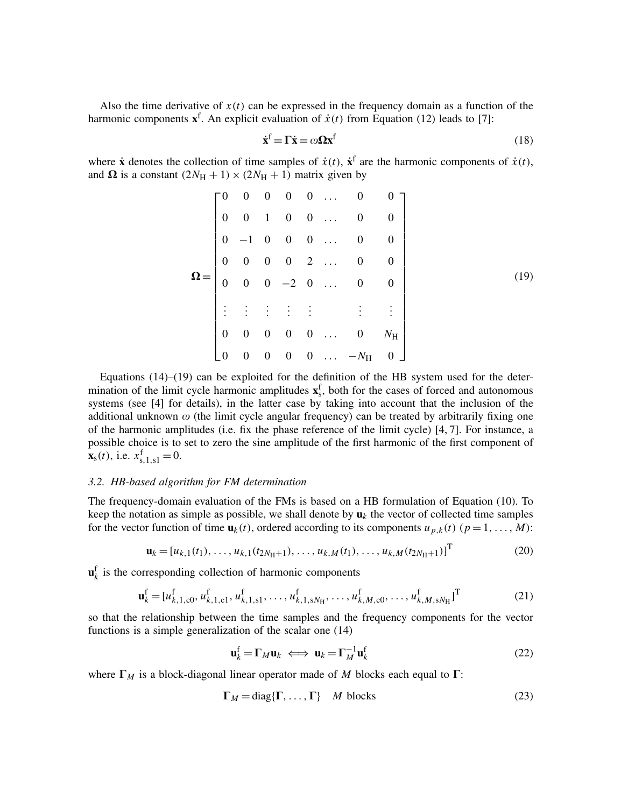Also the time derivative of  $x(t)$  can be expressed in the frequency domain as a function of the harmonic components  $\mathbf{x}^f$ . An explicit evaluation of  $\dot{x}(t)$  from Equation (12) leads to [7]:

$$
\dot{\mathbf{x}}^{\mathrm{f}} = \Gamma \dot{\mathbf{x}} = \omega \Omega \mathbf{x}^{\mathrm{f}} \tag{18}
$$

where  $\dot{x}$  denotes the collection of time samples of  $\dot{x}(t)$ ,  $\dot{x}^f$  are the harmonic components of  $\dot{x}(t)$ , and  $\Omega$  is a constant  $(2N_H + 1) \times (2N_H + 1)$  matrix given by

$$
\Omega = \begin{bmatrix}\n0 & 0 & 0 & 0 & 0 & \dots & 0 & 0 \\
0 & 0 & 1 & 0 & 0 & \dots & 0 & 0 \\
0 & -1 & 0 & 0 & 0 & \dots & 0 & 0 \\
0 & 0 & 0 & 0 & 2 & \dots & 0 & 0 \\
0 & 0 & 0 & -2 & 0 & \dots & 0 & 0 \\
\vdots & \vdots & \vdots & \vdots & \vdots & \vdots & \vdots & \vdots \\
0 & 0 & 0 & 0 & 0 & \dots & 0 & N_{H} \\
0 & 0 & 0 & 0 & 0 & \dots & -N_{H} & 0\n\end{bmatrix}
$$
\n(19)

Equations (14)–(19) can be exploited for the definition of the HB system used for the determination of the limit cycle harmonic amplitudes **x**<sup>f</sup> s, both for the cases of forced and autonomous systems (see [4] for details), in the latter case by taking into account that the inclusion of the additional unknown  $\omega$  (the limit cycle angular frequency) can be treated by arbitrarily fixing one of the harmonic amplitudes (i.e. fix the phase reference of the limit cycle) [4, 7]. For instance, a possible choice is to set to zero the sine amplitude of the first harmonic of the first component of  $\mathbf{x}_s(t)$ , i.e.  $x_{s,1,s1}^f = 0$ .

## *3.2. HB-based algorithm for FM determination*

The frequency-domain evaluation of the FMs is based on a HB formulation of Equation (10). To keep the notation as simple as possible, we shall denote by  $\mathbf{u}_k$  the vector of collected time samples for the vector function of time  $\mathbf{u}_k(t)$ , ordered according to its components  $u_{p,k}(t)$  ( $p = 1, \ldots, M$ ):

$$
\mathbf{u}_{k} = [u_{k,1}(t_1), \dots, u_{k,1}(t_{2N_{\rm H}+1}), \dots, u_{k,M}(t_1), \dots, u_{k,M}(t_{2N_{\rm H}+1})]^{\rm T}
$$
(20)

 $\mathbf{u}_k^f$  is the corresponding collection of harmonic components

$$
\mathbf{u}_k^{\mathrm{f}} = [u_{k,1,\mathrm{c}0}^{\mathrm{f}}, u_{k,1,\mathrm{c}1}^{\mathrm{f}}, u_{k,1,\mathrm{s}1}^{\mathrm{f}}, \dots, u_{k,1,\mathrm{s}N_{\mathrm{H}}}^{\mathrm{f}}, \dots, u_{k,M,\mathrm{c}0}^{\mathrm{f}}, \dots, u_{k,M,\mathrm{s}N_{\mathrm{H}}}^{\mathrm{f}}]^{\mathrm{T}} \tag{21}
$$

so that the relationship between the time samples and the frequency components for the vector functions is a simple generalization of the scalar one (14)

$$
\mathbf{u}_k^{\mathrm{f}} = \mathbf{\Gamma}_M \mathbf{u}_k \iff \mathbf{u}_k = \mathbf{\Gamma}_M^{-1} \mathbf{u}_k^{\mathrm{f}}
$$
(22)

where  $\Gamma_M$  is a block-diagonal linear operator made of *M* blocks each equal to  $\Gamma$ :

$$
\Gamma_M = \text{diag}\{\Gamma, \dots, \Gamma\} \quad M \text{ blocks}
$$
 (23)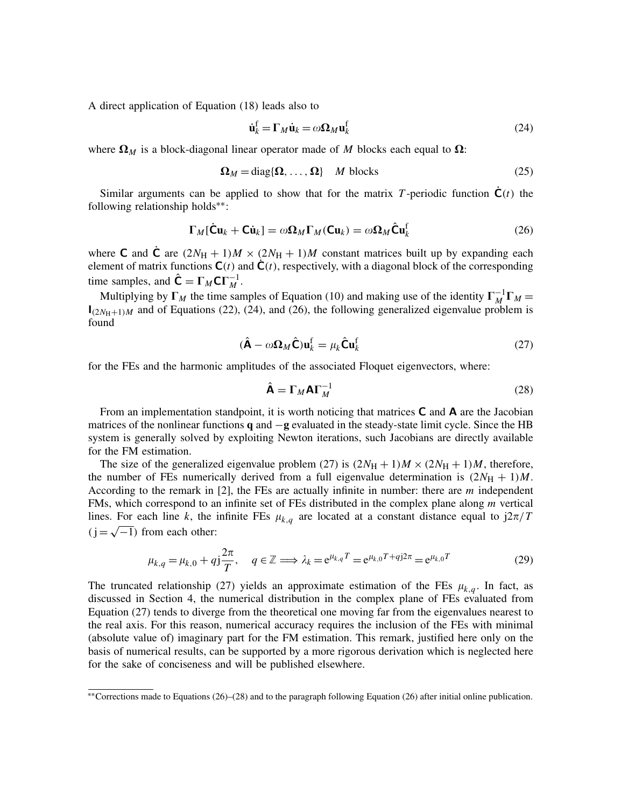A direct application of Equation (18) leads also to

$$
\dot{\mathbf{u}}_k^{\mathrm{f}} = \Gamma_M \dot{\mathbf{u}}_k = \omega \Omega_M \mathbf{u}_k^{\mathrm{f}} \tag{24}
$$

where  $\Omega_M$  is a block-diagonal linear operator made of *M* blocks each equal to  $\Omega$ :

$$
\Omega_M = \text{diag}\{\Omega, \dots, \Omega\} \quad M \text{ blocks} \tag{25}
$$

Similar arguments can be applied to show that for the matrix *T*-periodic function  $C(t)$  the following relationship holds∗∗:

$$
\Gamma_M[\dot{\mathbf{C}}\mathbf{u}_k + \mathbf{C}\dot{\mathbf{u}}_k] = \omega \Omega_M \Gamma_M(\mathbf{C}\mathbf{u}_k) = \omega \Omega_M \hat{\mathbf{C}}\mathbf{u}_k^{\mathrm{f}}
$$
(26)

where **C** and **C** are  $(2N_H + 1)M \times (2N_H + 1)M$  constant matrices built up by expanding each element of matrix functions  $C(t)$  and  $\dot{C}(t)$ , respectively, with a diagonal block of the corresponding time samples, and  $\hat{\mathbf{C}} = \Gamma_M \mathbf{C} \Gamma_M^{-1}$ .

Multiplying by  $\Gamma_M$  the time samples of Equation (10) and making use of the identity  $\Gamma_M^{-1}\Gamma_M =$  $I_{(2N_{\rm H}+1)M}$  and of Equations (22), (24), and (26), the following generalized eigenvalue problem is found

$$
(\hat{\mathbf{A}} - \omega \mathbf{\Omega}_M \hat{\mathbf{C}}) \mathbf{u}_k^{\mathrm{f}} = \mu_k \hat{\mathbf{C}} \mathbf{u}_k^{\mathrm{f}}
$$
 (27)

for the FEs and the harmonic amplitudes of the associated Floquet eigenvectors, where:

$$
\hat{\mathbf{A}} = \Gamma_M \mathbf{A} \Gamma_M^{-1} \tag{28}
$$

From an implementation standpoint, it is worth noticing that matrices **C** and **A** are the Jacobian matrices of the nonlinear functions **q** and −**g** evaluated in the steady-state limit cycle. Since the HB system is generally solved by exploiting Newton iterations, such Jacobians are directly available for the FM estimation.

The size of the generalized eigenvalue problem (27) is  $(2N_{\rm H} + 1)M \times (2N_{\rm H} + 1)M$ , therefore, the number of FEs numerically derived from a full eigenvalue determination is  $(2N_{\rm H} + 1)M$ . According to the remark in [2], the FEs are actually infinite in number: there are *m* independent FMs, which correspond to an infinite set of FEs distributed in the complex plane along *m* vertical lines. For each line *k*, the infinite FEs  $\mu_{k,q}$  are located at a constant distance equal to  $j2\pi/T$  $(i = \sqrt{-1})$  from each other:

$$
\mu_{k,q} = \mu_{k,0} + qj\frac{2\pi}{T}, \quad q \in \mathbb{Z} \implies \lambda_k = e^{\mu_{k,q}T} = e^{\mu_{k,0}T + qj2\pi} = e^{\mu_{k,0}T}
$$
(29)

The truncated relationship (27) yields an approximate estimation of the FEs  $\mu_{k,q}$ . In fact, as discussed in Section 4, the numerical distribution in the complex plane of FEs evaluated from Equation (27) tends to diverge from the theoretical one moving far from the eigenvalues nearest to the real axis. For this reason, numerical accuracy requires the inclusion of the FEs with minimal (absolute value of) imaginary part for the FM estimation. This remark, justified here only on the basis of numerical results, can be supported by a more rigorous derivation which is neglected here for the sake of conciseness and will be published elsewhere.

<sup>∗∗</sup>Corrections made to Equations (26)–(28) and to the paragraph following Equation (26) after initial online publication.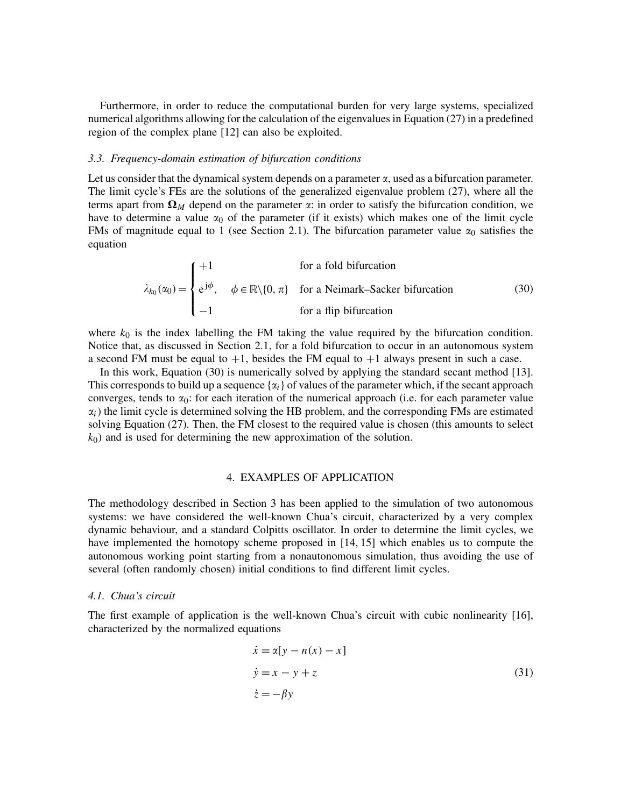Furthermore, in order to reduce the computational burden for very large systems, specialized numerical algorithms allowing for the calculation of the eigenvalues in Equation (27) in a predefined region of the complex plane [12] can also be exploited.

#### *3.3. Frequency-domain estimation of bifurcation conditions*

Let us consider that the dynamical system depends on a parameter  $\alpha$ , used as a bifurcation parameter. The limit cycle's FEs are the solutions of the generalized eigenvalue problem (27), where all the terms apart from  $\Omega_M$  depend on the parameter  $\alpha$ : in order to satisfy the bifurcation condition, we have to determine a value  $\alpha_0$  of the parameter (if it exists) which makes one of the limit cycle FMs of magnitude equal to 1 (see Section 2.1). The bifurcation parameter value  $\alpha_0$  satisfies the equation

$$
\lambda_{k_0}(\alpha_0) = \begin{cases}\n+1 & \text{for a fold bifurcation} \\
e^{j\phi}, & \phi \in \mathbb{R} \setminus \{0, \pi\} \\
-1 & \text{for a flip bifurcation} \\
\end{cases} \tag{30}
$$

where  $k_0$  is the index labelling the FM taking the value required by the bifurcation condition. Notice that, as discussed in Section 2.1, for a fold bifurcation to occur in an autonomous system a second FM must be equal to  $+1$ , besides the FM equal to  $+1$  always present in such a case.

In this work, Equation (30) is numerically solved by applying the standard secant method [13]. This corresponds to build up a sequence  $\{\alpha_i\}$  of values of the parameter which, if the secant approach converges, tends to  $\alpha_0$ : for each iteration of the numerical approach (i.e. for each parameter value  $\alpha_i$ ) the limit cycle is determined solving the HB problem, and the corresponding FMs are estimated solving Equation (27). Then, the FM closest to the required value is chosen (this amounts to select  $k_0$ ) and is used for determining the new approximation of the solution.

## 4. EXAMPLES OF APPLICATION

The methodology described in Section 3 has been applied to the simulation of two autonomous systems: we have considered the well-known Chua's circuit, characterized by a very complex dynamic behaviour, and a standard Colpitts oscillator. In order to determine the limit cycles, we have implemented the homotopy scheme proposed in [14, 15] which enables us to compute the autonomous working point starting from a nonautonomous simulation, thus avoiding the use of several (often randomly chosen) initial conditions to find different limit cycles.

## *4.1. Chua's circuit*

The first example of application is the well-known Chua's circuit with cubic nonlinearity [16], characterized by the normalized equations

$$
\begin{aligned}\n\dot{x} &= \alpha[y - n(x) - x] \\
\dot{y} &= x - y + z \\
\dot{z} &= -\beta y\n\end{aligned} \tag{31}
$$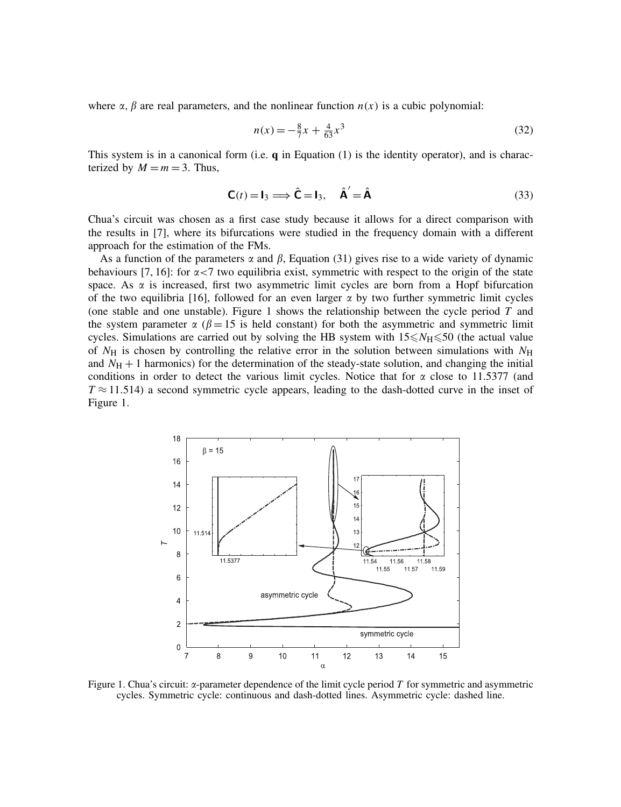where  $\alpha$ ,  $\beta$  are real parameters, and the nonlinear function  $n(x)$  is a cubic polynomial:

$$
n(x) = -\frac{8}{7}x + \frac{4}{63}x^3\tag{32}
$$

This system is in a canonical form (i.e. **q** in Equation (1) is the identity operator), and is characterized by  $M = m = 3$ . Thus,

$$
\mathbf{C}(t) = \mathbf{I}_3 \Longrightarrow \hat{\mathbf{C}} = \mathbf{I}_3, \quad \hat{\mathbf{A}}' = \hat{\mathbf{A}} \tag{33}
$$

Chua's circuit was chosen as a first case study because it allows for a direct comparison with the results in [7], where its bifurcations were studied in the frequency domain with a different approach for the estimation of the FMs.

As a function of the parameters  $\alpha$  and  $\beta$ , Equation (31) gives rise to a wide variety of dynamic behaviours [7, 16]: for  $\alpha$  < 7 two equilibria exist, symmetric with respect to the origin of the state space. As  $\alpha$  is increased, first two asymmetric limit cycles are born from a Hopf bifurcation of the two equilibria [16], followed for an even larger  $\alpha$  by two further symmetric limit cycles (one stable and one unstable). Figure 1 shows the relationship between the cycle period *T* and the system parameter  $\alpha$  ( $\beta = 15$  is held constant) for both the asymmetric and symmetric limit cycles. Simulations are carried out by solving the HB system with  $15 \leq N_H \leq 50$  (the actual value of  $N_{\rm H}$  is chosen by controlling the relative error in the solution between simulations with  $N_{\rm H}$ and  $N<sub>H</sub> + 1$  harmonics) for the determination of the steady-state solution, and changing the initial conditions in order to detect the various limit cycles. Notice that for  $\alpha$  close to 11.5377 (and  $T \approx 11.514$ ) a second symmetric cycle appears, leading to the dash-dotted curve in the inset of Figure 1.



Figure 1. Chua's circuit:  $\alpha$ -parameter dependence of the limit cycle period *T* for symmetric and asymmetric cycles. Symmetric cycle: continuous and dash-dotted lines. Asymmetric cycle: dashed line.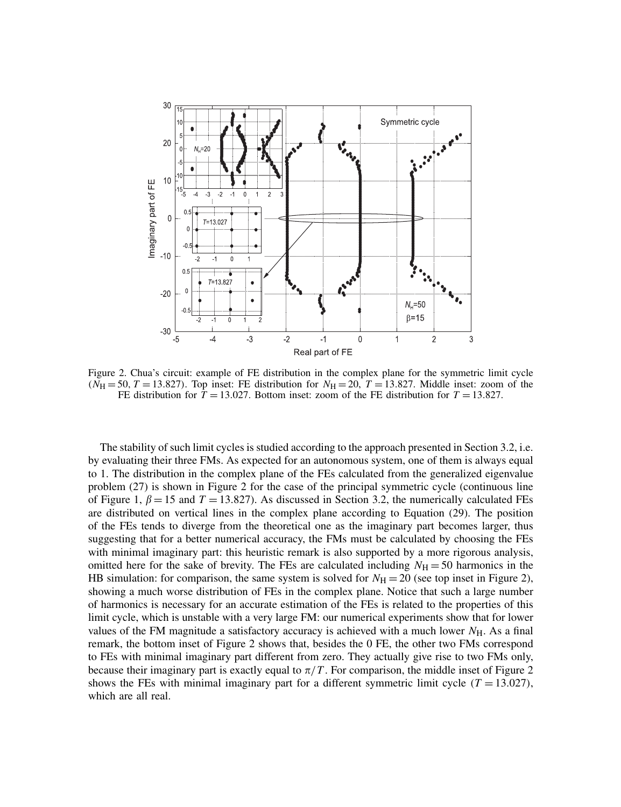

Figure 2. Chua's circuit: example of FE distribution in the complex plane for the symmetric limit cycle  $(N<sub>H</sub> = 50, T = 13.827)$ . Top inset: FE distribution for  $N<sub>H</sub> = 20, T = 13.827$ . Middle inset: zoom of the FE distribution for  $\overline{T} = 13.027$ . Bottom inset: zoom of the FE distribution for  $T = 13.827$ .

The stability of such limit cycles is studied according to the approach presented in Section 3.2, i.e. by evaluating their three FMs. As expected for an autonomous system, one of them is always equal to 1. The distribution in the complex plane of the FEs calculated from the generalized eigenvalue problem (27) is shown in Figure 2 for the case of the principal symmetric cycle (continuous line of Figure 1,  $\beta = 15$  and  $T = 13.827$ ). As discussed in Section 3.2, the numerically calculated FEs are distributed on vertical lines in the complex plane according to Equation (29). The position of the FEs tends to diverge from the theoretical one as the imaginary part becomes larger, thus suggesting that for a better numerical accuracy, the FMs must be calculated by choosing the FEs with minimal imaginary part: this heuristic remark is also supported by a more rigorous analysis, omitted here for the sake of brevity. The FEs are calculated including  $N<sub>H</sub> = 50$  harmonics in the HB simulation: for comparison, the same system is solved for  $N_H = 20$  (see top inset in Figure 2), showing a much worse distribution of FEs in the complex plane. Notice that such a large number of harmonics is necessary for an accurate estimation of the FEs is related to the properties of this limit cycle, which is unstable with a very large FM: our numerical experiments show that for lower values of the FM magnitude a satisfactory accuracy is achieved with a much lower N<sub>H</sub>. As a final remark, the bottom inset of Figure 2 shows that, besides the 0 FE, the other two FMs correspond to FEs with minimal imaginary part different from zero. They actually give rise to two FMs only, because their imaginary part is exactly equal to  $\pi/T$ . For comparison, the middle inset of Figure 2 shows the FEs with minimal imaginary part for a different symmetric limit cycle  $(T = 13.027)$ , which are all real.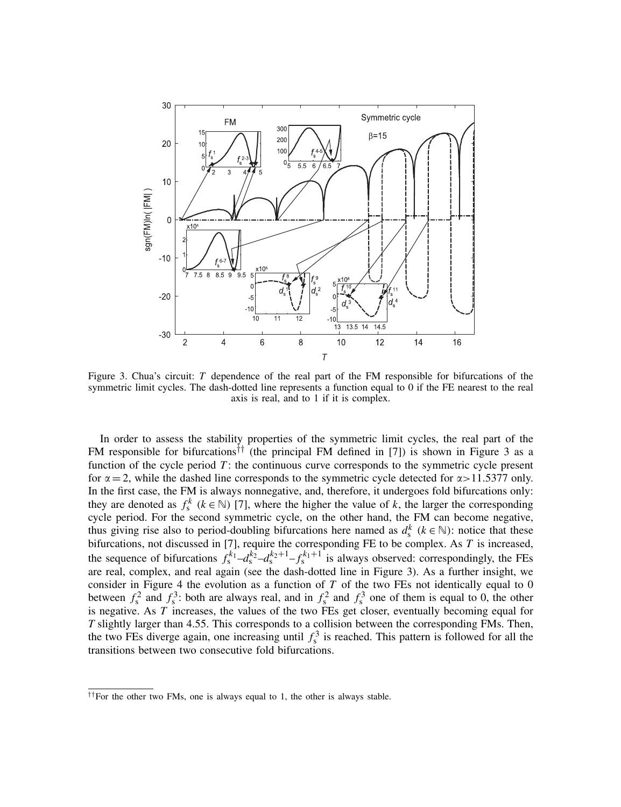

Figure 3. Chua's circuit: *T* dependence of the real part of the FM responsible for bifurcations of the symmetric limit cycles. The dash-dotted line represents a function equal to 0 if the FE nearest to the real axis is real, and to 1 if it is complex.

In order to assess the stability properties of the symmetric limit cycles, the real part of the FM responsible for bifurcations*††* (the principal FM defined in [7]) is shown in Figure 3 as a function of the cycle period *T*: the continuous curve corresponds to the symmetric cycle present for  $\alpha = 2$ , while the dashed line corresponds to the symmetric cycle detected for  $\alpha > 11.5377$  only. In the first case, the FM is always nonnegative, and, therefore, it undergoes fold bifurcations only: they are denoted as  $f_s^k$  ( $k \in \mathbb{N}$ ) [7], where the higher the value of  $k$ , the larger the corresponding cycle period. For the second symmetric cycle, on the other hand, the FM can become negative, thus giving rise also to period-doubling bifurcations here named as  $d_s^k$  ( $k \in \mathbb{N}$ ): notice that these bifurcations, not discussed in [7], require the corresponding FE to be complex. As *T* is increased, the sequence of bifurcations  $f_s^{k_1} - d_s^{k_2} - d_s^{k_2+1} - f_s^{k_1+1}$  is always observed: correspondingly, the FEs are real, complex, and real again (see the dash-dotted line in Figure 3). As a further insight, we consider in Figure 4 the evolution as a function of *T* of the two FEs not identically equal to 0 between  $f_s^2$  and  $f_s^3$ : both are always real, and in  $f_s^2$  and  $f_s^3$  one of them is equal to 0, the other is negative. As *T* increases, the values of the two FEs get closer, eventually becoming equal for *T* slightly larger than 4.55. This corresponds to a collision between the corresponding FMs. Then, the two FEs diverge again, one increasing until  $f_s^3$  is reached. This pattern is followed for all the transitions between two consecutive fold bifurcations.

*<sup>††</sup>*For the other two FMs, one is always equal to 1, the other is always stable.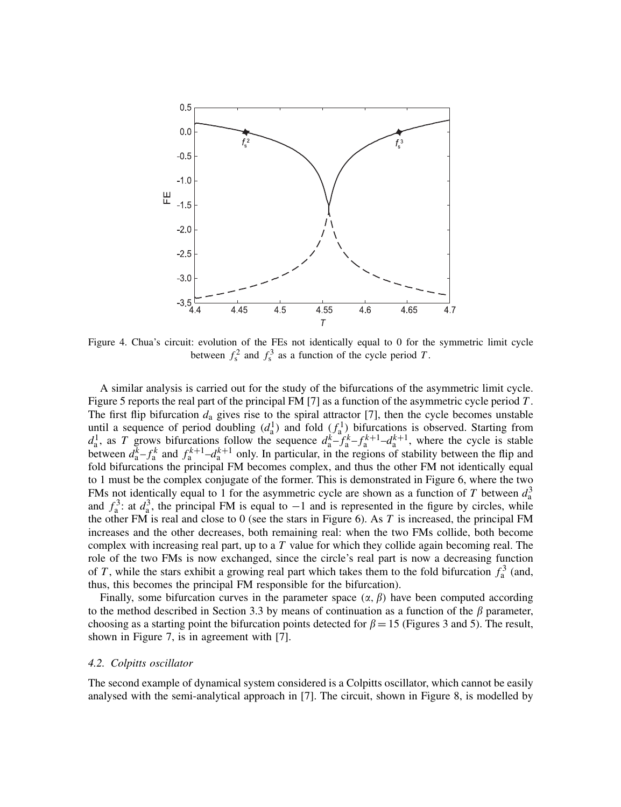

Figure 4. Chua's circuit: evolution of the FEs not identically equal to 0 for the symmetric limit cycle between  $f_s^2$  and  $f_s^3$  as a function of the cycle period *T*.

A similar analysis is carried out for the study of the bifurcations of the asymmetric limit cycle. Figure 5 reports the real part of the principal FM [7] as a function of the asymmetric cycle period *T* . The first flip bifurcation  $d_a$  gives rise to the spiral attractor [7], then the cycle becomes unstable until a sequence of period doubling  $(d_a^1)$  and fold  $(f_a^1)$  bifurcations is observed. Starting from  $d_a^1$ , as *T* grows bifurcations follow the sequence  $d_a^k - f_a^k - f_a^{k+1} - d_a^{k+1}$ , where the cycle is stable between  $d_a^k - f_a^k$  and  $f_a^{k+1} - d_a^{k+1}$  only. In particular, in the regions of stability between the flip and fold bifurcations the principal FM becomes complex, and thus the other FM not identically equal to 1 must be the complex conjugate of the former. This is demonstrated in Figure 6, where the two FMs not identically equal to 1 for the asymmetric cycle are shown as a function of *T* between  $d_a^3$ and  $f_a^3$ : at  $d_a^3$ , the principal FM is equal to  $-1$  and is represented in the figure by circles, while the other FM is real and close to 0 (see the stars in Figure 6). As *T* is increased, the principal FM increases and the other decreases, both remaining real: when the two FMs collide, both become complex with increasing real part, up to a *T* value for which they collide again becoming real. The role of the two FMs is now exchanged, since the circle's real part is now a decreasing function of *T*, while the stars exhibit a growing real part which takes them to the fold bifurcation  $f_a^3$  (and, thus, this becomes the principal FM responsible for the bifurcation).

Finally, some bifurcation curves in the parameter space  $(\alpha, \beta)$  have been computed according to the method described in Section 3.3 by means of continuation as a function of the  $\beta$  parameter, choosing as a starting point the bifurcation points detected for  $\beta = 15$  (Figures 3 and 5). The result, shown in Figure 7, is in agreement with [7].

### *4.2. Colpitts oscillator*

The second example of dynamical system considered is a Colpitts oscillator, which cannot be easily analysed with the semi-analytical approach in [7]. The circuit, shown in Figure 8, is modelled by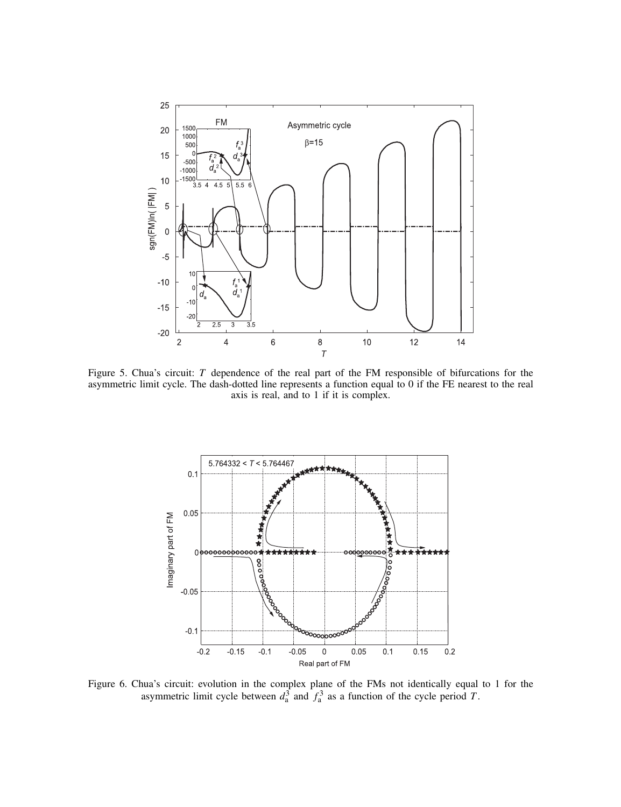

Figure 5. Chua's circuit: *T* dependence of the real part of the FM responsible of bifurcations for the asymmetric limit cycle. The dash-dotted line represents a function equal to 0 if the FE nearest to the real axis is real, and to 1 if it is complex.



Figure 6. Chua's circuit: evolution in the complex plane of the FMs not identically equal to 1 for the asymmetric limit cycle between  $d_a^3$  and  $f_a^3$  as a function of the cycle period *T*.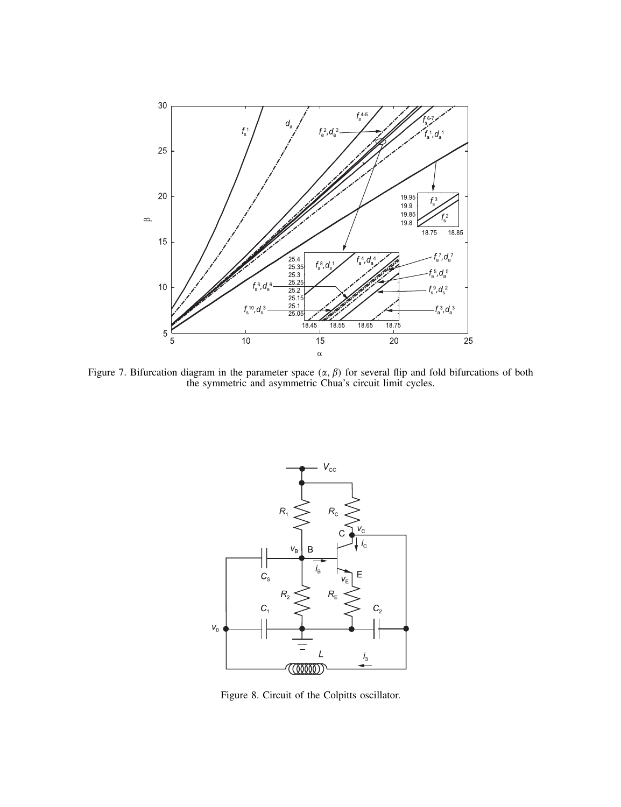

Figure 7. Bifurcation diagram in the parameter space  $(\alpha, \beta)$  for several flip and fold bifurcations of both the symmetric and asymmetric Chua's circuit limit cycles.



Figure 8. Circuit of the Colpitts oscillator.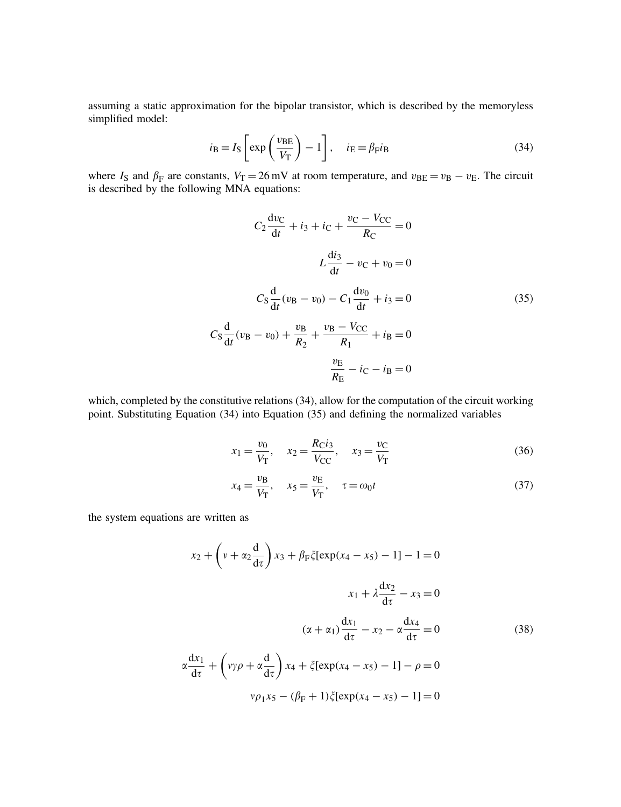assuming a static approximation for the bipolar transistor, which is described by the memoryless simplified model:

$$
i_{\rm B} = I_{\rm S} \left[ \exp\left(\frac{v_{\rm BE}}{V_{\rm T}}\right) - 1 \right], \quad i_{\rm E} = \beta_{\rm F} i_{\rm B}
$$
 (34)

where  $I_S$  and  $\beta_F$  are constants,  $V_T = 26$  mV at room temperature, and  $v_{BE} = v_B - v_E$ . The circuit is described by the following MNA equations:

$$
C_{2} \frac{dv_{C}}{dt} + i_{3} + i_{C} + \frac{v_{C} - V_{CC}}{R_{C}} = 0
$$
  

$$
L \frac{di_{3}}{dt} - v_{C} + v_{0} = 0
$$
  

$$
C_{S} \frac{d}{dt} (v_{B} - v_{0}) - C_{1} \frac{dv_{0}}{dt} + i_{3} = 0
$$
  

$$
C_{S} \frac{d}{dt} (v_{B} - v_{0}) + \frac{v_{B}}{R_{2}} + \frac{v_{B} - V_{CC}}{R_{1}} + i_{B} = 0
$$
  

$$
\frac{v_{E}}{R_{E}} - i_{C} - i_{B} = 0
$$
 (35)

which, completed by the constitutive relations (34), allow for the computation of the circuit working point. Substituting Equation (34) into Equation (35) and defining the normalized variables

$$
x_1 = \frac{v_0}{V_T}, \quad x_2 = \frac{R_{\text{C}}i_3}{V_{\text{CC}}}, \quad x_3 = \frac{v_{\text{C}}}{V_T}
$$
(36)

$$
x_4 = \frac{v_B}{V_T}, \quad x_5 = \frac{v_E}{V_T}, \quad \tau = \omega_0 t \tag{37}
$$

the system equations are written as

$$
x_2 + \left(v + \alpha_2 \frac{d}{d\tau}\right) x_3 + \beta_F \xi [\exp(x_4 - x_5) - 1] - 1 = 0
$$
  

$$
x_1 + \lambda \frac{dx_2}{d\tau} - x_3 = 0
$$
  

$$
(\alpha + \alpha_1) \frac{dx_1}{d\tau} - x_2 - \alpha \frac{dx_4}{d\tau} = 0
$$
 (38)  

$$
\alpha \frac{dx_1}{d\tau} + \left(v\gamma \rho + \alpha \frac{d}{d\tau}\right) x_4 + \xi [\exp(x_4 - x_5) - 1] - \rho = 0
$$
  

$$
v \rho_1 x_5 - (\beta_F + 1) \xi [\exp(x_4 - x_5) - 1] = 0
$$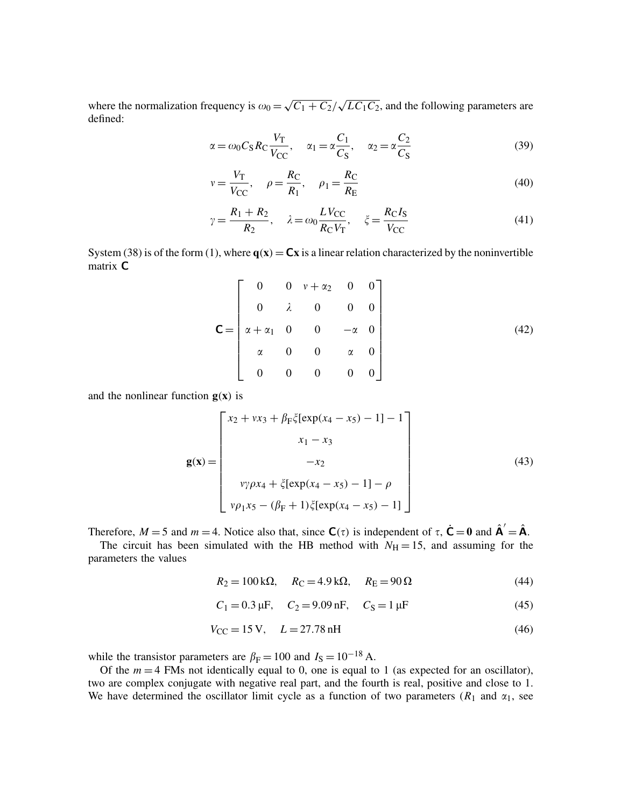where the normalization frequency is  $\omega_0 = \sqrt{C_1 + C_2}/\sqrt{LC_1C_2}$ , and the following parameters are defined:

$$
\alpha = \omega_0 C_S R_C \frac{V_T}{V_{CC}}, \quad \alpha_1 = \alpha \frac{C_1}{C_S}, \quad \alpha_2 = \alpha \frac{C_2}{C_S}
$$
(39)

$$
v = \frac{V_T}{V_{CC}}, \quad \rho = \frac{R_C}{R_1}, \quad \rho_1 = \frac{R_C}{R_E}
$$
\n
$$
(40)
$$

$$
\gamma = \frac{R_1 + R_2}{R_2}, \quad \lambda = \omega_0 \frac{L V_{\rm CC}}{R_{\rm C} V_{\rm T}}, \quad \xi = \frac{R_{\rm C} I_{\rm S}}{V_{\rm CC}} \tag{41}
$$

System (38) is of the form (1), where  $\mathbf{q}(\mathbf{x}) = \mathbf{C}\mathbf{x}$  is a linear relation characterized by the noninvertible matrix **C**

$$
\mathbf{C} = \begin{bmatrix} 0 & 0 & v + \alpha_2 & 0 & 0 \\ 0 & \lambda & 0 & 0 & 0 \\ \alpha + \alpha_1 & 0 & 0 & -\alpha & 0 \\ \alpha & 0 & 0 & \alpha & 0 \\ 0 & 0 & 0 & 0 & 0 \end{bmatrix}
$$
(42)

and the nonlinear function  $g(x)$  is

$$
\mathbf{g}(\mathbf{x}) = \begin{bmatrix} x_2 + vx_3 + \beta_{\text{F}} \xi[\exp(x_4 - x_5) - 1] - 1 \\ x_1 - x_3 \\ -x_2 \\ v\gamma \rho x_4 + \xi[\exp(x_4 - x_5) - 1] - \rho \\ v\rho_1 x_5 - (\beta_{\text{F}} + 1) \xi[\exp(x_4 - x_5) - 1] \end{bmatrix}
$$
(43)

Therefore,  $M = 5$  and  $m = 4$ . Notice also that, since  $\mathbf{C}(\tau)$  is independent of  $\tau$ ,  $\dot{\mathbf{C}} = \mathbf{0}$  and  $\hat{\mathbf{A}}' = \hat{\mathbf{A}}$ .

The circuit has been simulated with the HB method with  $N_H = 15$ , and assuming for the parameters the values

$$
R_2 = 100 \,\text{k}\Omega, \quad R_C = 4.9 \,\text{k}\Omega, \quad R_E = 90 \,\Omega \tag{44}
$$

$$
C_1 = 0.3 \,\mu\text{F}, \quad C_2 = 9.09 \,\text{nF}, \quad C_\text{S} = 1 \,\mu\text{F} \tag{45}
$$

$$
V_{\rm CC} = 15 \text{ V}, \quad L = 27.78 \text{ nH} \tag{46}
$$

while the transistor parameters are  $\beta_F = 100$  and  $I_S = 10^{-18}$  A.

Of the  $m = 4$  FMs not identically equal to 0, one is equal to 1 (as expected for an oscillator), two are complex conjugate with negative real part, and the fourth is real, positive and close to 1. We have determined the oscillator limit cycle as a function of two parameters ( $R_1$  and  $\alpha_1$ , see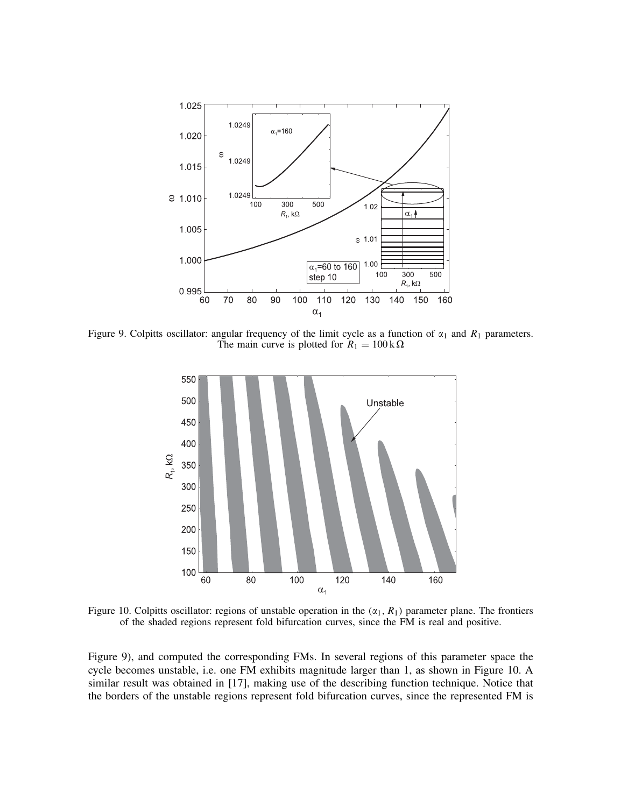

Figure 9. Colpitts oscillator: angular frequency of the limit cycle as a function of  $\alpha_1$  and  $R_1$  parameters. The main curve is plotted for  $R_1 = 100 \text{ k}\Omega$ 



Figure 10. Colpitts oscillator: regions of unstable operation in the  $(\alpha_1, R_1)$  parameter plane. The frontiers of the shaded regions represent fold bifurcation curves, since the FM is real and positive.

Figure 9), and computed the corresponding FMs. In several regions of this parameter space the cycle becomes unstable, i.e. one FM exhibits magnitude larger than 1, as shown in Figure 10. A similar result was obtained in [17], making use of the describing function technique. Notice that the borders of the unstable regions represent fold bifurcation curves, since the represented FM is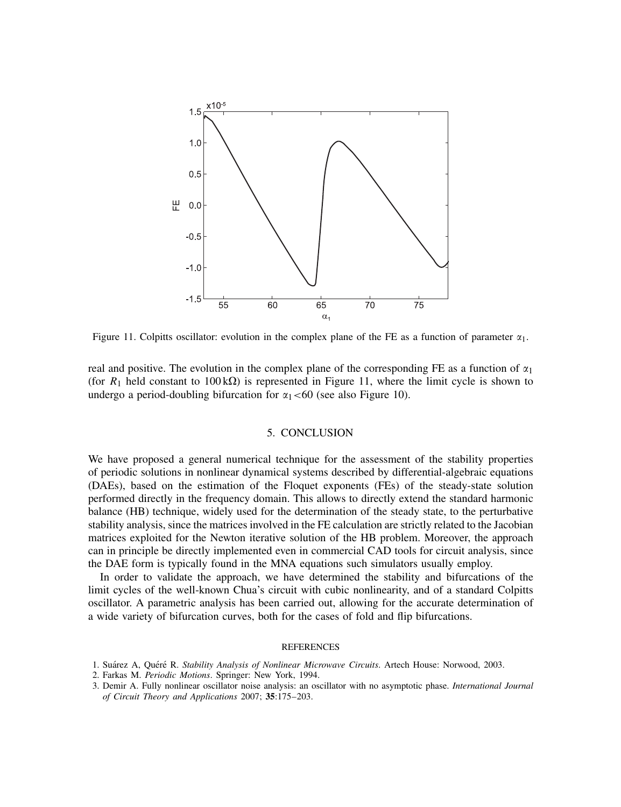

Figure 11. Colpitts oscillator: evolution in the complex plane of the FE as a function of parameter  $\alpha_1$ .

real and positive. The evolution in the complex plane of the corresponding FE as a function of  $\alpha_1$ (for  $R_1$  held constant to 100 k $\Omega$ ) is represented in Figure 11, where the limit cycle is shown to undergo a period-doubling bifurcation for  $\alpha_1 < 60$  (see also Figure 10).

#### 5. CONCLUSION

We have proposed a general numerical technique for the assessment of the stability properties of periodic solutions in nonlinear dynamical systems described by differential-algebraic equations (DAEs), based on the estimation of the Floquet exponents (FEs) of the steady-state solution performed directly in the frequency domain. This allows to directly extend the standard harmonic balance (HB) technique, widely used for the determination of the steady state, to the perturbative stability analysis, since the matrices involved in the FE calculation are strictly related to the Jacobian matrices exploited for the Newton iterative solution of the HB problem. Moreover, the approach can in principle be directly implemented even in commercial CAD tools for circuit analysis, since the DAE form is typically found in the MNA equations such simulators usually employ.

In order to validate the approach, we have determined the stability and bifurcations of the limit cycles of the well-known Chua's circuit with cubic nonlinearity, and of a standard Colpitts oscillator. A parametric analysis has been carried out, allowing for the accurate determination of a wide variety of bifurcation curves, both for the cases of fold and flip bifurcations.

#### **REFERENCES**

- 1. Suárez A, Quéré R. *Stability Analysis of Nonlinear Microwave Circuits*. Artech House: Norwood, 2003.
- 2. Farkas M. *Periodic Motions*. Springer: New York, 1994.
- 3. Demir A. Fully nonlinear oscillator noise analysis: an oscillator with no asymptotic phase. *International Journal of Circuit Theory and Applications* 2007; **35**:175–203.